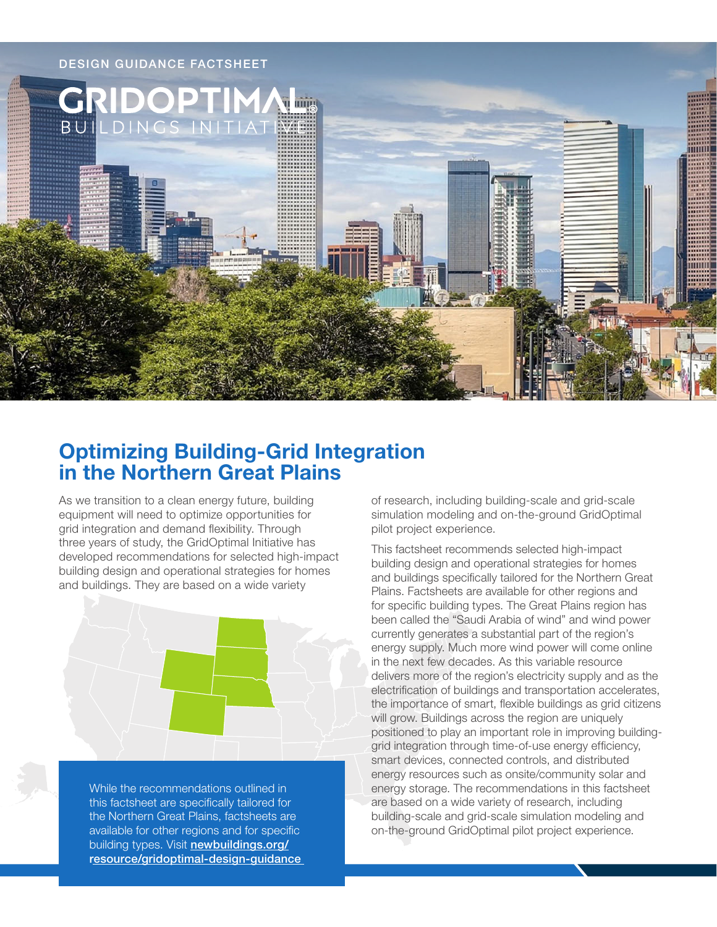

# **Optimizing Building-Grid Integration in the Northern Great Plains**

As we transition to a clean energy future, building equipment will need to optimize opportunities for grid integration and demand flexibility. Through three years of study, the GridOptimal Initiative has developed recommendations for selected high-impact building design and operational strategies for homes and buildings. They are based on a wide variety



While the recommendations outlined in this factsheet are specifically tailored for the Northern Great Plains, factsheets are available for other regions and for specific building types. Visit [newbuildings.org/](https://newbuildings.org/resource/gridoptimal-design-guidance) [resource/gridoptimal-design-guidance](https://newbuildings.org/resource/gridoptimal-design-guidance) of research, including building-scale and grid-scale simulation modeling and on-the-ground GridOptimal pilot project experience.

This factsheet recommends selected high-impact building design and operational strategies for homes and buildings specifically tailored for the Northern Great Plains. Factsheets are available for other regions and for specific building types. The Great Plains region has been called the "Saudi Arabia of wind" and wind power currently generates a substantial part of the region's energy supply. Much more wind power will come online in the next few decades. As this variable resource delivers more of the region's electricity supply and as the electrification of buildings and transportation accelerates, the importance of smart, flexible buildings as grid citizens will grow. Buildings across the region are uniquely positioned to play an important role in improving buildinggrid integration through time-of-use energy efficiency, smart devices, connected controls, and distributed energy resources such as onsite/community solar and energy storage. The recommendations in this factsheet are based on a wide variety of research, including building-scale and grid-scale simulation modeling and on-the-ground GridOptimal pilot project experience.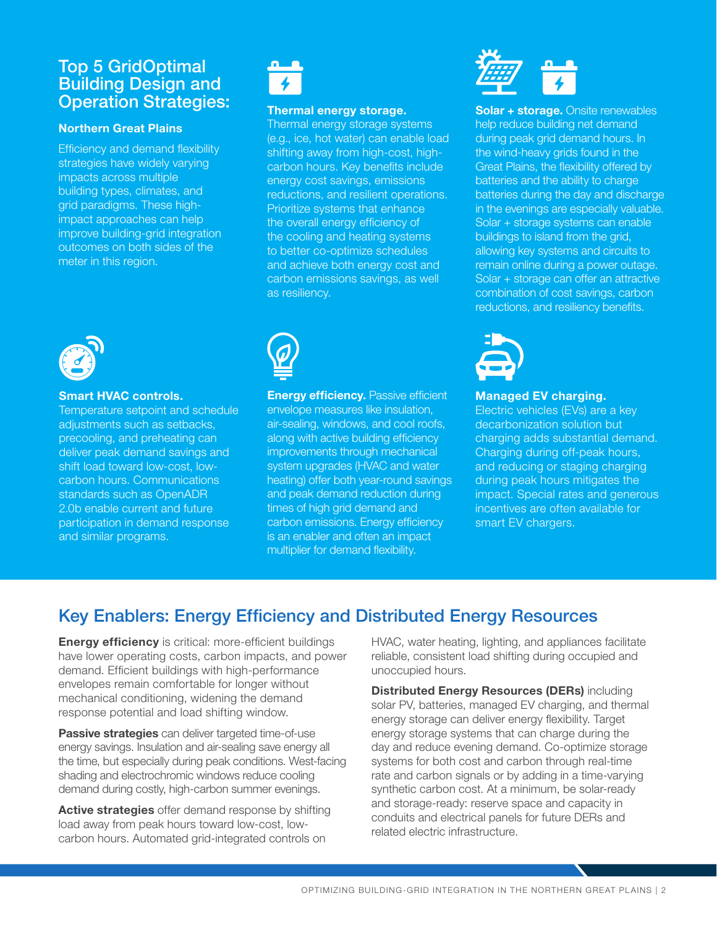### Top 5 GridOptimal **Building Design and** Operation Strategies:

#### **Northern Great Plains**

Efficiency and demand flexibility strategies have widely varying impacts across multiple building types, climates, and grid paradigms. These highimpact approaches can help improve building-grid integration outcomes on both sides of the meter in this region.



#### **Smart HVAC controls.**

Temperature setpoint and schedule adjustments such as setbacks, precooling, and preheating can deliver peak demand savings and shift load toward low-cost, lowcarbon hours. Communications standards such as OpenADR 2.0b enable current and future participation in demand response and similar programs.



#### **Thermal energy storage.**

Thermal energy storage systems (e.g., ice, hot water) can enable load shifting away from high-cost, highcarbon hours. Key benefits include energy cost savings, emissions reductions, and resilient operations. Prioritize systems that enhance the overall energy efficiency of the cooling and heating systems to better co-optimize schedules and achieve both energy cost and carbon emissions savings, as well as resiliency.



**Energy efficiency.** Passive efficient envelope measures like insulation, air-sealing, windows, and cool roofs, along with active building efficiency improvements through mechanical system upgrades (HVAC and water heating) offer both year-round savings and peak demand reduction during times of high grid demand and carbon emissions. Energy efficiency is an enabler and often an impact multiplier for demand flexibility.



**Solar + storage.** Onsite renewables help reduce building net demand during peak grid demand hours. In the wind-heavy grids found in the Great Plains, the flexibility offered by batteries and the ability to charge batteries during the day and discharge in the evenings are especially valuable. Solar + storage systems can enable buildings to island from the grid, allowing key systems and circuits to remain online during a power outage. Solar + storage can offer an attractive combination of cost savings, carbon reductions, and resiliency benefits.



#### **Managed EV charging.**

Electric vehicles (EVs) are a key decarbonization solution but charging adds substantial demand. Charging during off-peak hours, and reducing or staging charging during peak hours mitigates the impact. Special rates and generous incentives are often available for smart EV chargers.

## Key Enablers: Energy Efficiency and Distributed Energy Resources

**Energy efficiency** is critical: more-efficient buildings have lower operating costs, carbon impacts, and power demand. Efficient buildings with high-performance envelopes remain comfortable for longer without mechanical conditioning, widening the demand response potential and load shifting window.

**Passive strategies** can deliver targeted time-of-use energy savings. Insulation and air-sealing save energy all the time, but especially during peak conditions. West-facing shading and electrochromic windows reduce cooling demand during costly, high-carbon summer evenings.

**Active strategies** offer demand response by shifting load away from peak hours toward low-cost, lowcarbon hours. Automated grid-integrated controls on

HVAC, water heating, lighting, and appliances facilitate reliable, consistent load shifting during occupied and unoccupied hours.

**Distributed Energy Resources (DERs)** including solar PV, batteries, managed EV charging, and thermal energy storage can deliver energy flexibility. Target energy storage systems that can charge during the day and reduce evening demand. Co-optimize storage systems for both cost and carbon through real-time rate and carbon signals or by adding in a time-varying synthetic carbon cost. At a minimum, be solar-ready and storage-ready: reserve space and capacity in conduits and electrical panels for future DERs and related electric infrastructure.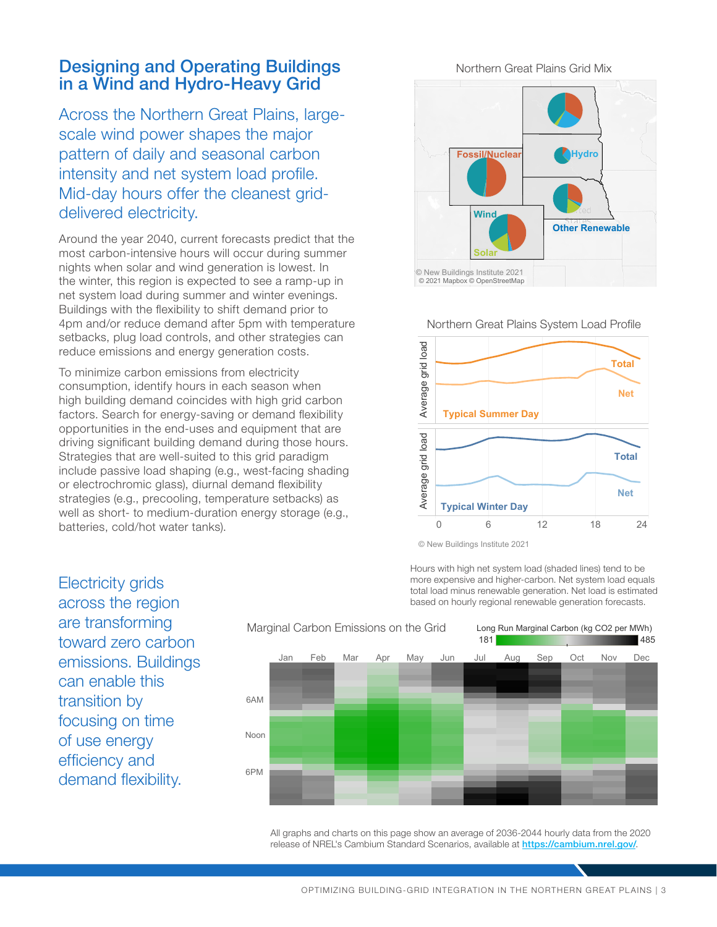### Designing and Operating Buildings in a Wind and Hydro-Heavy Grid

Across the Northern Great Plains, largescale wind power shapes the major pattern of daily and seasonal carbon intensity and net system load profile. Mid-day hours offer the cleanest griddelivered electricity.

Around the year 2040, current forecasts predict that the most carbon-intensive hours will occur during summer nights when solar and wind generation is lowest. In the winter, this region is expected to see a ramp-up in net system load during summer and winter evenings. Buildings with the flexibility to shift demand prior to 4pm and/or reduce demand after 5pm with temperature setbacks, plug load controls, and other strategies can reduce emissions and energy generation costs.

To minimize carbon emissions from electricity consumption, identify hours in each season when high building demand coincides with high grid carbon factors. Search for energy-saving or demand flexibility opportunities in the end-uses and equipment that are driving significant building demand during those hours. Strategies that are well-suited to this grid paradigm include passive load shaping (e.g., west-facing shading or electrochromic glass), diurnal demand flexibility strategies (e.g., precooling, temperature setbacks) as well as short- to medium-duration energy storage (e.g., batteries, cold/hot water tanks).

Other Renewable Fossil/Nuclear Hydro Solar **Wind** © 2021 Mapbox © OpenStreetMap © New Buildings Institute 2021

Northern Great Plains Grid Mix

Northern Great Plains System Load Profile



<sup>©</sup> New Buildings Institute 2021

Hours with high net system load (shaded lines) tend to be more expensive and higher-carbon. Net system load equals total load minus renewable generation. Net load is estimated based on hourly regional renewable generation forecasts.

across the region are transforming toward zero carbon emissions. Buildings can enable this transition by focusing on time of use energy efficiency and demand flexibility.

Electricity grids



All graphs and charts on this page show an average of 2036-2044 hourly data from the 2020 release of NREL's Cambium Standard Scenarios, available at <https://cambium.nrel.gov/>.